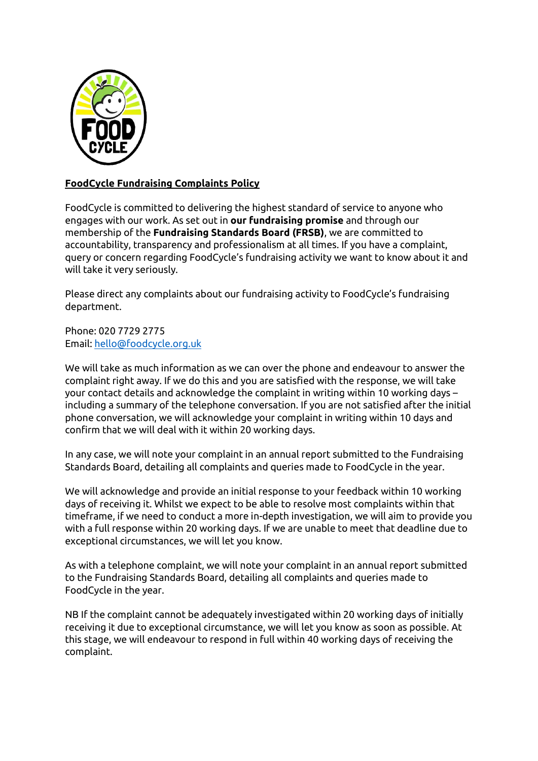

## **FoodCycle Fundraising Complaints Policy**

FoodCycle is committed to delivering the highest standard of service to anyone who engages with our work. As set out in **our fundraising promise** and through our membership of the **Fundraising Standards Board (FRSB)**, we are committed to accountability, transparency and professionalism at all times. If you have a complaint, query or concern regarding FoodCycle's fundraising activity we want to know about it and will take it very seriously.

Please direct any complaints about our fundraising activity to FoodCycle's fundraising department.

Phone: 020 7729 2775 Email[: hello@foodcycle.org.uk](mailto:hello@foodcycle.org.uk)

We will take as much information as we can over the phone and endeavour to answer the complaint right away. If we do this and you are satisfied with the response, we will take your contact details and acknowledge the complaint in writing within 10 working days – including a summary of the telephone conversation. If you are not satisfied after the initial phone conversation, we will acknowledge your complaint in writing within 10 days and confirm that we will deal with it within 20 working days.

In any case, we will note your complaint in an annual report submitted to the Fundraising Standards Board, detailing all complaints and queries made to FoodCycle in the year.

We will acknowledge and provide an initial response to your feedback within 10 working days of receiving it. Whilst we expect to be able to resolve most complaints within that timeframe, if we need to conduct a more in-depth investigation, we will aim to provide you with a full response within 20 working days. If we are unable to meet that deadline due to exceptional circumstances, we will let you know.

As with a telephone complaint, we will note your complaint in an annual report submitted to the Fundraising Standards Board, detailing all complaints and queries made to FoodCycle in the year.

NB If the complaint cannot be adequately investigated within 20 working days of initially receiving it due to exceptional circumstance, we will let you know as soon as possible. At this stage, we will endeavour to respond in full within 40 working days of receiving the complaint.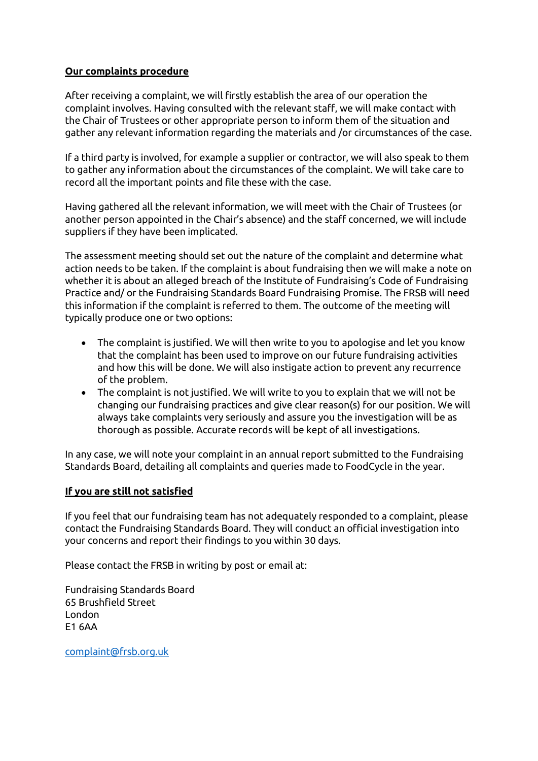## **Our complaints procedure**

After receiving a complaint, we will firstly establish the area of our operation the complaint involves. Having consulted with the relevant staff, we will make contact with the Chair of Trustees or other appropriate person to inform them of the situation and gather any relevant information regarding the materials and /or circumstances of the case.

If a third party is involved, for example a supplier or contractor, we will also speak to them to gather any information about the circumstances of the complaint. We will take care to record all the important points and file these with the case.

Having gathered all the relevant information, we will meet with the Chair of Trustees (or another person appointed in the Chair's absence) and the staff concerned, we will include suppliers if they have been implicated.

The assessment meeting should set out the nature of the complaint and determine what action needs to be taken. If the complaint is about fundraising then we will make a note on whether it is about an alleged breach of the Institute of Fundraising's Code of Fundraising Practice and/ or the Fundraising Standards Board Fundraising Promise. The FRSB will need this information if the complaint is referred to them. The outcome of the meeting will typically produce one or two options:

- The complaint is justified. We will then write to you to apologise and let you know that the complaint has been used to improve on our future fundraising activities and how this will be done. We will also instigate action to prevent any recurrence of the problem.
- The complaint is not justified. We will write to you to explain that we will not be changing our fundraising practices and give clear reason(s) for our position. We will always take complaints very seriously and assure you the investigation will be as thorough as possible. Accurate records will be kept of all investigations.

In any case, we will note your complaint in an annual report submitted to the Fundraising Standards Board, detailing all complaints and queries made to FoodCycle in the year.

## **If you are still not satisfied**

If you feel that our fundraising team has not adequately responded to a complaint, please contact the Fundraising Standards Board. They will conduct an official investigation into your concerns and report their findings to you within 30 days.

Please contact the FRSB in writing by post or email at:

Fundraising Standards Board 65 Brushfield Street London E1 6AA

[complaint@frsb.org.uk](mailto:complaint@frsb.org.uk)